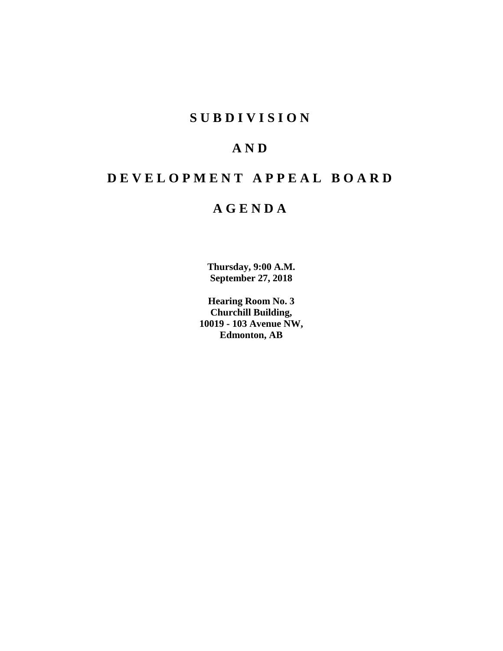# **S U B D I V I S I O N**

# **A N D**

# **D E V E L O P M E N T A P P E A L B O A R D**

# **A G E N D A**

**Thursday, 9:00 A.M. September 27, 2018**

**Hearing Room No. 3 Churchill Building, 10019 - 103 Avenue NW, Edmonton, AB**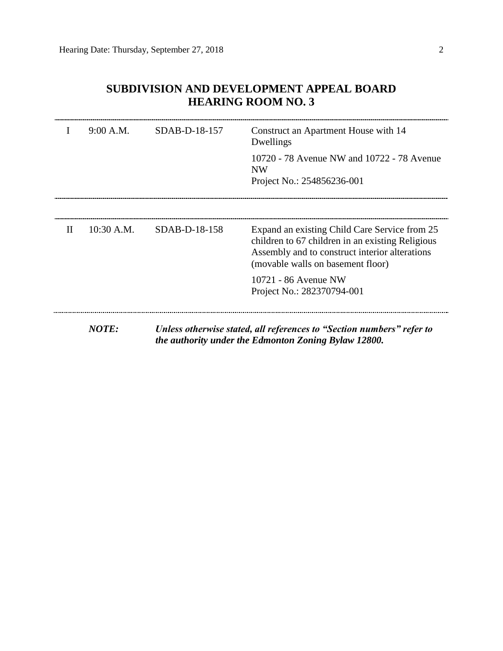| $\mathbf{I}$ | 9:00 A.M.    | SDAB-D-18-157 | Construct an Apartment House with 14<br>Dwellings                                                                                                                                        |
|--------------|--------------|---------------|------------------------------------------------------------------------------------------------------------------------------------------------------------------------------------------|
|              |              |               | 10720 - 78 Avenue NW and 10722 - 78 Avenue<br><b>NW</b><br>Project No.: 254856236-001                                                                                                    |
|              |              |               |                                                                                                                                                                                          |
| Н            | $10:30$ A.M. | SDAB-D-18-158 | Expand an existing Child Care Service from 25<br>children to 67 children in an existing Religious<br>Assembly and to construct interior alterations<br>(movable walls on basement floor) |
|              |              |               | 10721 - 86 Avenue NW<br>Project No.: 282370794-001                                                                                                                                       |

# **SUBDIVISION AND DEVELOPMENT APPEAL BOARD HEARING ROOM NO. 3**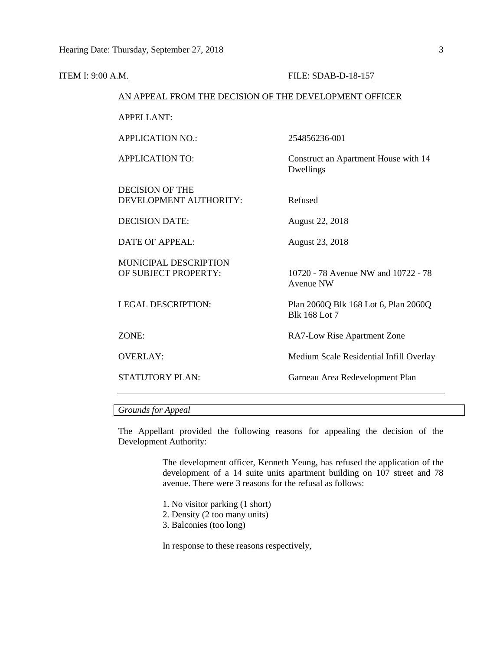| <b>ITEM I: 9:00 A.M.</b> |                                                        | FILE: SDAB-D-18-157                                          |
|--------------------------|--------------------------------------------------------|--------------------------------------------------------------|
|                          | AN APPEAL FROM THE DECISION OF THE DEVELOPMENT OFFICER |                                                              |
|                          | <b>APPELLANT:</b>                                      |                                                              |
|                          | <b>APPLICATION NO.:</b>                                | 254856236-001                                                |
|                          | <b>APPLICATION TO:</b>                                 | Construct an Apartment House with 14<br>Dwellings            |
|                          | <b>DECISION OF THE</b><br>DEVELOPMENT AUTHORITY:       | Refused                                                      |
|                          | <b>DECISION DATE:</b>                                  | August 22, 2018                                              |
|                          | <b>DATE OF APPEAL:</b>                                 | August 23, 2018                                              |
|                          | MUNICIPAL DESCRIPTION<br>OF SUBJECT PROPERTY:          | 10720 - 78 Avenue NW and 10722 - 78<br><b>Avenue NW</b>      |
|                          | <b>LEGAL DESCRIPTION:</b>                              | Plan 2060Q Blk 168 Lot 6, Plan 2060Q<br><b>Blk 168 Lot 7</b> |
|                          | ZONE:                                                  | RA7-Low Rise Apartment Zone                                  |
|                          | <b>OVERLAY:</b>                                        | Medium Scale Residential Infill Overlay                      |
|                          | <b>STATUTORY PLAN:</b>                                 | Garneau Area Redevelopment Plan                              |
|                          |                                                        |                                                              |

# *Grounds for Appeal*

The Appellant provided the following reasons for appealing the decision of the Development Authority:

> The development officer, Kenneth Yeung, has refused the application of the development of a 14 suite units apartment building on 107 street and 78 avenue. There were 3 reasons for the refusal as follows:

- 1. No visitor parking (1 short)
- 2. Density (2 too many units)
- 3. Balconies (too long)

In response to these reasons respectively,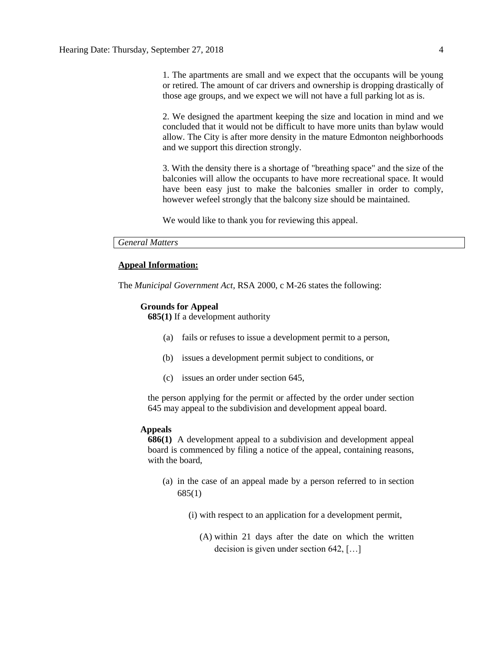1. The apartments are small and we expect that the occupants will be young or retired. The amount of car drivers and ownership is dropping drastically of those age groups, and we expect we will not have a full parking lot as is.

2. We designed the apartment keeping the size and location in mind and we concluded that it would not be difficult to have more units than bylaw would allow. The City is after more density in the mature Edmonton neighborhoods and we support this direction strongly.

3. With the density there is a shortage of "breathing space" and the size of the balconies will allow the occupants to have more recreational space. It would have been easy just to make the balconies smaller in order to comply, however wefeel strongly that the balcony size should be maintained.

We would like to thank you for reviewing this appeal.

## *General Matters*

#### **Appeal Information:**

The *Municipal Government Act*, RSA 2000, c M-26 states the following:

### **Grounds for Appeal**

**685(1)** If a development authority

- (a) fails or refuses to issue a development permit to a person,
- (b) issues a development permit subject to conditions, or
- (c) issues an order under section 645,

the person applying for the permit or affected by the order under section 645 may appeal to the subdivision and development appeal board.

## **Appeals**

**686(1)** A development appeal to a subdivision and development appeal board is commenced by filing a notice of the appeal, containing reasons, with the board,

- (a) in the case of an appeal made by a person referred to in section 685(1)
	- (i) with respect to an application for a development permit,
		- (A) within 21 days after the date on which the written decision is given under section 642, […]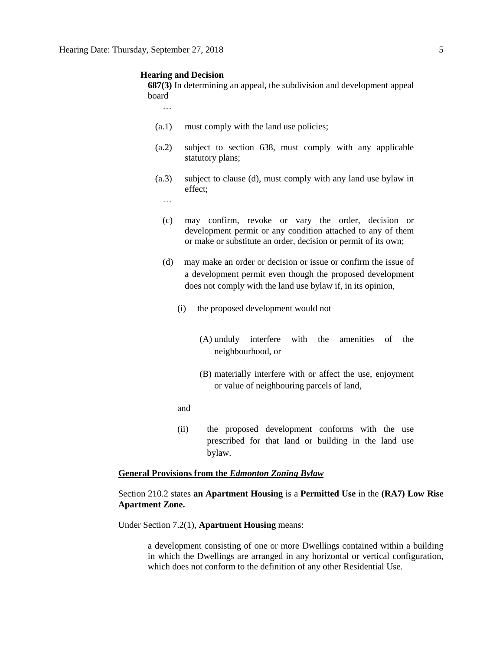#### **Hearing and Decision**

**687(3)** In determining an appeal, the subdivision and development appeal board

…

- (a.1) must comply with the land use policies;
- (a.2) subject to section 638, must comply with any applicable statutory plans;
- (a.3) subject to clause (d), must comply with any land use bylaw in effect;
	- …
	- (c) may confirm, revoke or vary the order, decision or development permit or any condition attached to any of them or make or substitute an order, decision or permit of its own;
	- (d) may make an order or decision or issue or confirm the issue of a development permit even though the proposed development does not comply with the land use bylaw if, in its opinion,
		- (i) the proposed development would not
			- (A) unduly interfere with the amenities of the neighbourhood, or
			- (B) materially interfere with or affect the use, enjoyment or value of neighbouring parcels of land,
		- and
		- (ii) the proposed development conforms with the use prescribed for that land or building in the land use bylaw.

## **General Provisions from the** *Edmonton Zoning Bylaw*

## Section 210.2 states **an Apartment Housing** is a **Permitted Use** in the **(RA7) Low Rise Apartment Zone.**

Under Section 7.2(1), **Apartment Housing** means:

a development consisting of one or more Dwellings contained within a building in which the Dwellings are arranged in any horizontal or vertical configuration, which does not conform to the definition of any other Residential Use.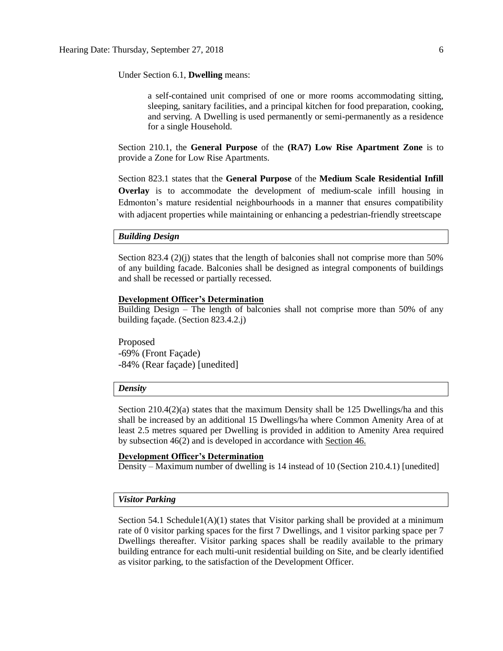Under Section 6.1, **Dwelling** means:

a self-contained unit comprised of one or more rooms accommodating sitting, sleeping, sanitary facilities, and a principal kitchen for food preparation, cooking, and serving. A Dwelling is used permanently or semi-permanently as a residence for a single Household.

Section 210.1, the **General Purpose** of the **(RA7) Low Rise Apartment Zone** is to provide a Zone for Low Rise Apartments.

Section 823.1 states that the **General Purpose** of the **Medium Scale Residential Infill Overlay** is to accommodate the development of medium-scale infill housing in Edmonton's mature residential neighbourhoods in a manner that ensures compatibility with adjacent properties while maintaining or enhancing a pedestrian-friendly streetscape

## *Building Design*

Section 823.4 (2)(j) states that the length of balconies shall not comprise more than  $50\%$ of any building facade. Balconies shall be designed as integral components of buildings and shall be recessed or partially recessed.

### **Development Officer's Determination**

Building Design – The length of balconies shall not comprise more than 50% of any building façade. (Section 823.4.2.j)

Proposed -69% (Front Façade) -84% (Rear façade) [unedited]

## *Density*

Section  $210.4(2)(a)$  states that the maximum Density shall be 125 Dwellings/ha and this shall be increased by an additional 15 Dwellings/ha where Common Amenity Area of at least 2.5 metres squared per Dwelling is provided in addition to Amenity Area required by subsection 46(2) and is developed in accordance with [Section 46.](https://webdocs.edmonton.ca/InfraPlan/zoningbylaw/ZoningBylaw/Part1/Development/46__Amenity_Area.htm)

## **Development Officer's Determination**

Density – Maximum number of dwelling is 14 instead of 10 (Section 210.4.1) [unedited]

## *Visitor Parking*

Section 54.1 Schedule1(A)(1) states that Visitor parking shall be provided at a minimum rate of 0 visitor parking spaces for the first 7 Dwellings, and 1 visitor parking space per 7 Dwellings thereafter. Visitor parking spaces shall be readily available to the primary building entrance for each multi-unit residential building on Site, and be clearly identified as visitor parking, to the satisfaction of the Development Officer.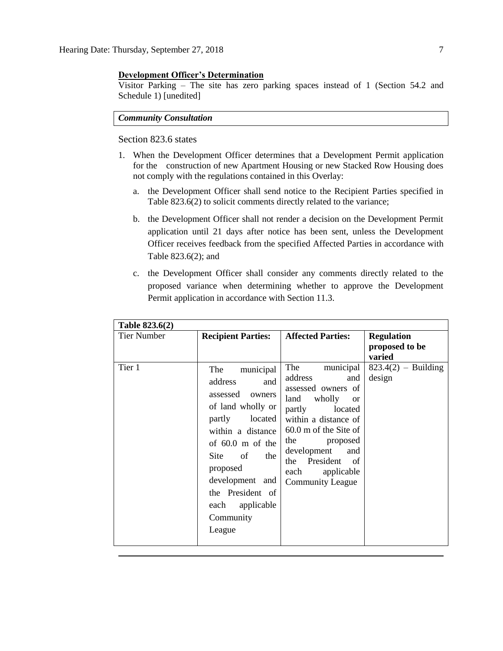## **Development Officer's Determination**

Visitor Parking – The site has zero parking spaces instead of 1 (Section 54.2 and Schedule 1) [unedited]

# *Community Consultation*

Section 823.6 states

- 1. When the Development Officer determines that a Development Permit application for the construction of new Apartment Housing or new Stacked Row Housing does not comply with the regulations contained in this Overlay:
	- a. the Development Officer shall send notice to the Recipient Parties specified in Table 823.6(2) to solicit comments directly related to the variance;
	- b. the Development Officer shall not render a decision on the Development Permit application until 21 days after notice has been sent, unless the Development Officer receives feedback from the specified Affected Parties in accordance with Table 823.6(2); and
	- c. the Development Officer shall consider any comments directly related to the proposed variance when determining whether to approve the Development Permit application in accordance with Section 11.3.

| Table 823.6(2) |                                                                                                                                                                                                                                                              |                                                                                                                                                                                                                                                                                    |                                               |
|----------------|--------------------------------------------------------------------------------------------------------------------------------------------------------------------------------------------------------------------------------------------------------------|------------------------------------------------------------------------------------------------------------------------------------------------------------------------------------------------------------------------------------------------------------------------------------|-----------------------------------------------|
| Tier Number    | <b>Recipient Parties:</b>                                                                                                                                                                                                                                    | <b>Affected Parties:</b>                                                                                                                                                                                                                                                           | <b>Regulation</b><br>proposed to be<br>varied |
| Tier 1         | municipal<br>The<br>address<br>and<br>assessed<br>owners<br>of land wholly or<br>located<br>partly<br>within a distance<br>of $60.0$ m of the<br>Site of the<br>proposed<br>development and<br>the President of<br>applicable<br>each<br>Community<br>League | municipal<br>The<br>address<br>and<br>assessed owners of<br>wholly<br>land<br><sub>or</sub><br>partly<br>located<br>within a distance of<br>60.0 m of the Site of<br>the<br>proposed<br>development<br>and<br>President of<br>the<br>each<br>applicable<br><b>Community League</b> | $823.4(2)$ – Building<br>design               |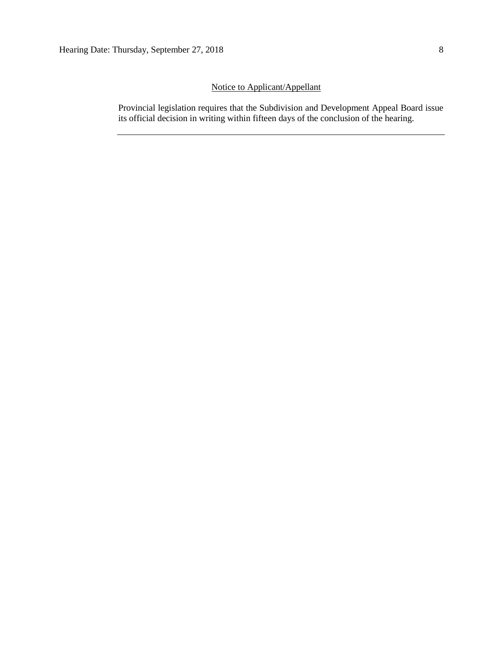# Notice to Applicant/Appellant

Provincial legislation requires that the Subdivision and Development Appeal Board issue its official decision in writing within fifteen days of the conclusion of the hearing.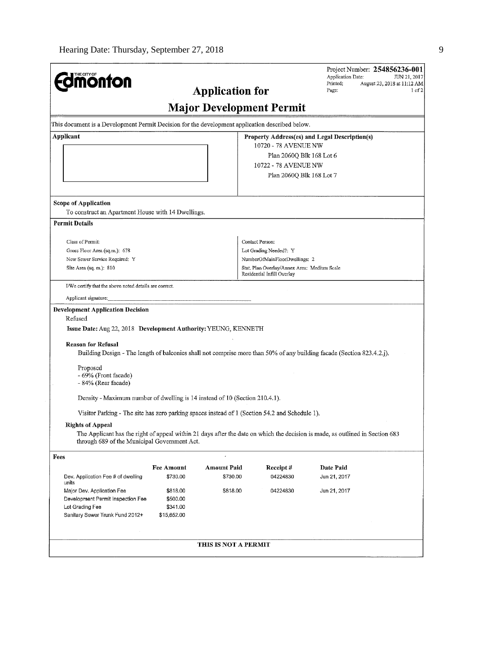| THE CITY OF<br><b>monton</b>                                                                                         | <b>Application for</b> |                      |                                                                           |                                                                                                                               |  |
|----------------------------------------------------------------------------------------------------------------------|------------------------|----------------------|---------------------------------------------------------------------------|-------------------------------------------------------------------------------------------------------------------------------|--|
|                                                                                                                      |                        |                      | <b>Major Development Permit</b>                                           |                                                                                                                               |  |
| This document is a Development Permit Decision for the development application described below.                      |                        |                      |                                                                           |                                                                                                                               |  |
| Applicant                                                                                                            |                        |                      |                                                                           | Property Address(es) and Legal Description(s)                                                                                 |  |
|                                                                                                                      |                        |                      | 10720 - 78 AVENUE NW                                                      |                                                                                                                               |  |
|                                                                                                                      |                        |                      | Plan 2060Q Blk 168 Lot 6                                                  |                                                                                                                               |  |
|                                                                                                                      |                        |                      | 10722 - 78 AVENUE NW                                                      |                                                                                                                               |  |
|                                                                                                                      |                        |                      | Plan 2060Q Blk 168 Lot 7                                                  |                                                                                                                               |  |
| <b>Scope of Application</b>                                                                                          |                        |                      |                                                                           |                                                                                                                               |  |
| To construct an Apartment House with 14 Dwellings.                                                                   |                        |                      |                                                                           |                                                                                                                               |  |
| <b>Permit Details</b>                                                                                                |                        |                      |                                                                           |                                                                                                                               |  |
| Class of Permit:                                                                                                     |                        |                      | Contact Person:                                                           |                                                                                                                               |  |
| Gross Floor Area (sq.m.): 678                                                                                        |                        |                      | Lot Grading Needed?: Y                                                    |                                                                                                                               |  |
| New Sewer Service Required: Y                                                                                        |                        |                      | NumberOfMainFloorDwellings: 2                                             |                                                                                                                               |  |
| Site Area (sq. m.): 810                                                                                              |                        |                      | Stat. Plan Overlay/Annex Area: Medium Scale<br>Residential Infill Overlay |                                                                                                                               |  |
| I/We certify that the above noted details are correct.                                                               |                        |                      |                                                                           |                                                                                                                               |  |
| Applicant signature:                                                                                                 |                        |                      |                                                                           |                                                                                                                               |  |
| <b>Development Application Decision</b><br>Refused<br>Issue Date: Aug 22, 2018 Development Authority: YEUNG, KENNETH |                        |                      |                                                                           |                                                                                                                               |  |
| <b>Reason for Refusal</b>                                                                                            |                        |                      |                                                                           | Building Design - The length of balconies shall not comprise more than 50% of any building facade (Section 823.4.2.j).        |  |
| Proposed<br>- 69% (Front facade)<br>- 84% (Rear facade)                                                              |                        |                      |                                                                           |                                                                                                                               |  |
| Density - Maximum number of dwelling is 14 instead of 10 (Section 210.4.1).                                          |                        |                      |                                                                           |                                                                                                                               |  |
| Visitor Parking - The site has zero parking spaces instead of 1 (Section 54.2 and Schedule 1).                       |                        |                      |                                                                           |                                                                                                                               |  |
| <b>Rights of Appeal</b><br>through 689 of the Municipal Government Act.                                              |                        |                      |                                                                           | The Applicant has the right of appeal within 21 days after the date on which the decision is made, as outlined in Section 683 |  |
| Fees                                                                                                                 |                        |                      |                                                                           |                                                                                                                               |  |
|                                                                                                                      | <b>Fee Amount</b>      | <b>Amount Paid</b>   | Receipt#                                                                  | Date Paid                                                                                                                     |  |
| Dev. Application Fee # of dwelling<br>units                                                                          | \$730.00               | \$730.00             | 04224830                                                                  | Jun 21, 2017                                                                                                                  |  |
| Major Dev. Application Fee                                                                                           | \$818.00               | \$818.00             | 04224830                                                                  | Jun 21, 2017                                                                                                                  |  |
| Development Permit Inspection Fee                                                                                    | \$500.00               |                      |                                                                           |                                                                                                                               |  |
| Lot Grading Fee                                                                                                      | \$341.00               |                      |                                                                           |                                                                                                                               |  |
| Sanitary Sewer Trunk Fund 2012+                                                                                      | \$15,652.00            |                      |                                                                           |                                                                                                                               |  |
|                                                                                                                      |                        |                      |                                                                           |                                                                                                                               |  |
|                                                                                                                      |                        | THIS IS NOT A PERMIT |                                                                           |                                                                                                                               |  |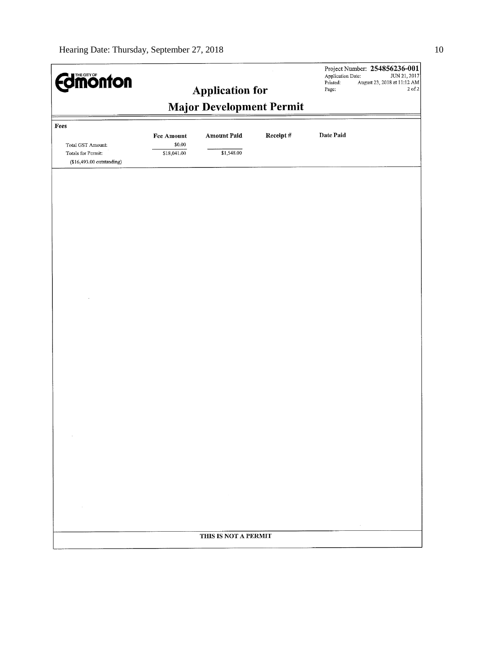| <b>Edimonton</b>                                                      |                                                           |                      |              | Application Date:<br>Printed:<br>Page: | Project Number: 254856236-001<br>JUN 21, 2017<br>August 23, 2018 at 11:12 AM<br>$2$ of $2$ |
|-----------------------------------------------------------------------|-----------------------------------------------------------|----------------------|--------------|----------------------------------------|--------------------------------------------------------------------------------------------|
|                                                                       | <b>Application for</b><br><b>Major Development Permit</b> |                      |              |                                        |                                                                                            |
| Fees                                                                  | <b>Fee Amount</b>                                         | Amount Paid          | Receipt $\#$ | Date Paid                              |                                                                                            |
| Total GST Amount:<br>Totals for Permit:<br>$($16,493.00$ outstanding) | \$0.00<br>\$18,041.00                                     | \$1,548.00           |              |                                        |                                                                                            |
|                                                                       |                                                           |                      |              |                                        |                                                                                            |
|                                                                       |                                                           |                      |              |                                        |                                                                                            |
|                                                                       |                                                           |                      |              |                                        |                                                                                            |
|                                                                       |                                                           |                      |              |                                        |                                                                                            |
|                                                                       |                                                           |                      |              |                                        |                                                                                            |
|                                                                       |                                                           |                      |              |                                        |                                                                                            |
|                                                                       |                                                           |                      |              |                                        |                                                                                            |
|                                                                       |                                                           |                      |              |                                        |                                                                                            |
|                                                                       |                                                           |                      |              |                                        |                                                                                            |
|                                                                       |                                                           |                      |              |                                        |                                                                                            |
|                                                                       |                                                           |                      |              |                                        |                                                                                            |
|                                                                       |                                                           |                      |              |                                        |                                                                                            |
|                                                                       |                                                           |                      |              |                                        |                                                                                            |
|                                                                       |                                                           | THIS IS NOT A PERMIT |              | $\sim$                                 |                                                                                            |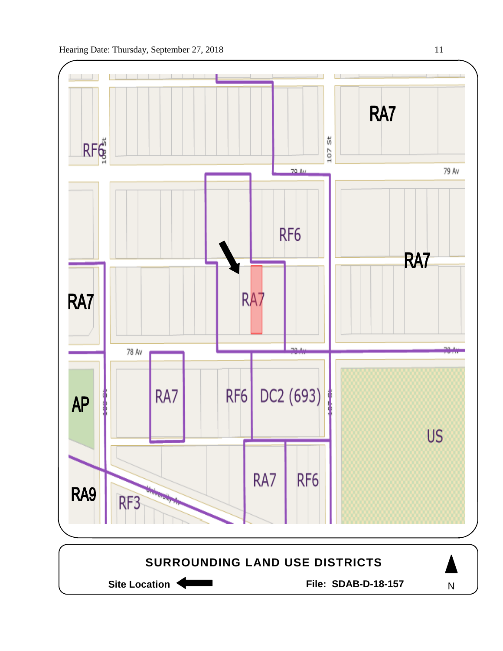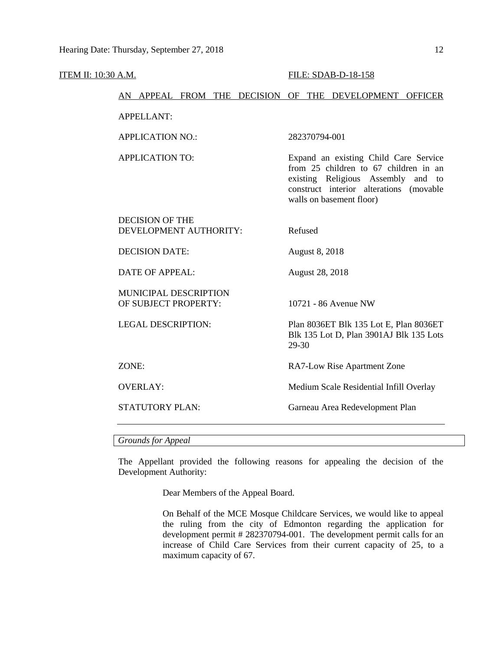| ITEM II: 10:30 A.M. |                                                  | FILE: SDAB-D-18-158                                                                                                                                                                            |  |  |
|---------------------|--------------------------------------------------|------------------------------------------------------------------------------------------------------------------------------------------------------------------------------------------------|--|--|
|                     | AN APPEAL FROM THE DECISION OF THE DEVELOPMENT   | <b>OFFICER</b>                                                                                                                                                                                 |  |  |
|                     | <b>APPELLANT:</b>                                |                                                                                                                                                                                                |  |  |
|                     | <b>APPLICATION NO.:</b>                          | 282370794-001                                                                                                                                                                                  |  |  |
|                     | <b>APPLICATION TO:</b>                           | Expand an existing Child Care Service<br>from 25 children to 67 children in an<br>existing Religious Assembly<br>and to<br>construct interior alterations (movable<br>walls on basement floor) |  |  |
|                     | <b>DECISION OF THE</b><br>DEVELOPMENT AUTHORITY: | Refused                                                                                                                                                                                        |  |  |
|                     | <b>DECISION DATE:</b>                            | August 8, 2018                                                                                                                                                                                 |  |  |
|                     | <b>DATE OF APPEAL:</b>                           | August 28, 2018                                                                                                                                                                                |  |  |
|                     | MUNICIPAL DESCRIPTION<br>OF SUBJECT PROPERTY:    | 10721 - 86 Avenue NW                                                                                                                                                                           |  |  |
|                     | <b>LEGAL DESCRIPTION:</b>                        | Plan 8036ET Blk 135 Lot E, Plan 8036ET<br>Blk 135 Lot D, Plan 3901AJ Blk 135 Lots<br>29-30                                                                                                     |  |  |
|                     | ZONE:                                            | RA7-Low Rise Apartment Zone                                                                                                                                                                    |  |  |
|                     | <b>OVERLAY:</b>                                  | Medium Scale Residential Infill Overlay                                                                                                                                                        |  |  |
|                     | <b>STATUTORY PLAN:</b>                           | Garneau Area Redevelopment Plan                                                                                                                                                                |  |  |
|                     |                                                  |                                                                                                                                                                                                |  |  |

*Grounds for Appeal*

The Appellant provided the following reasons for appealing the decision of the Development Authority:

Dear Members of the Appeal Board.

On Behalf of the MCE Mosque Childcare Services, we would like to appeal the ruling from the city of Edmonton regarding the application for development permit # 282370794-001. The development permit calls for an increase of Child Care Services from their current capacity of 25, to a maximum capacity of 67.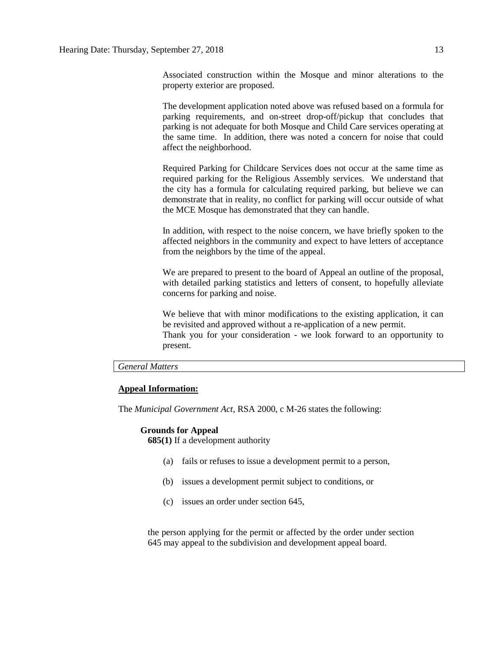Associated construction within the Mosque and minor alterations to the property exterior are proposed.

The development application noted above was refused based on a formula for parking requirements, and on-street drop-off/pickup that concludes that parking is not adequate for both Mosque and Child Care services operating at the same time. In addition, there was noted a concern for noise that could affect the neighborhood.

Required Parking for Childcare Services does not occur at the same time as required parking for the Religious Assembly services. We understand that the city has a formula for calculating required parking, but believe we can demonstrate that in reality, no conflict for parking will occur outside of what the MCE Mosque has demonstrated that they can handle.

In addition, with respect to the noise concern, we have briefly spoken to the affected neighbors in the community and expect to have letters of acceptance from the neighbors by the time of the appeal.

We are prepared to present to the board of Appeal an outline of the proposal, with detailed parking statistics and letters of consent, to hopefully alleviate concerns for parking and noise.

We believe that with minor modifications to the existing application, it can be revisited and approved without a re-application of a new permit. Thank you for your consideration - we look forward to an opportunity to present.

## *General Matters*

## **Appeal Information:**

The *Municipal Government Act*, RSA 2000, c M-26 states the following:

# **Grounds for Appeal**

**685(1)** If a development authority

- (a) fails or refuses to issue a development permit to a person,
- (b) issues a development permit subject to conditions, or
- (c) issues an order under section 645,

the person applying for the permit or affected by the order under section 645 may appeal to the subdivision and development appeal board.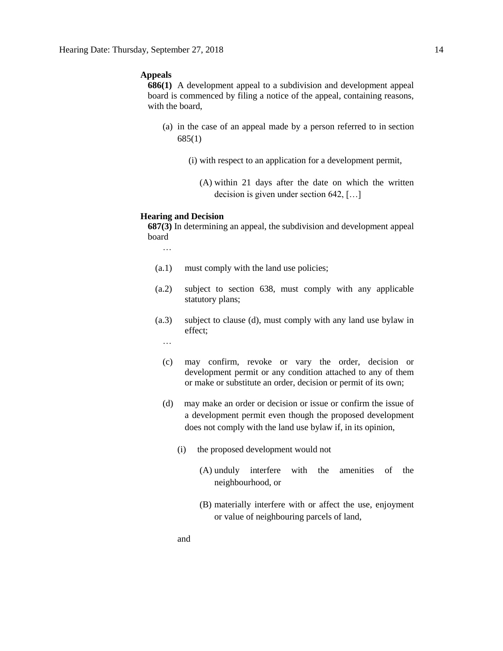## **Appeals**

**686(1)** A development appeal to a subdivision and development appeal board is commenced by filing a notice of the appeal, containing reasons, with the board,

- (a) in the case of an appeal made by a person referred to in section 685(1)
	- (i) with respect to an application for a development permit,
		- (A) within 21 days after the date on which the written decision is given under section 642, […]

## **Hearing and Decision**

**687(3)** In determining an appeal, the subdivision and development appeal board

- …<br>…
- (a.1) must comply with the land use policies;
- (a.2) subject to section 638, must comply with any applicable statutory plans;
- (a.3) subject to clause (d), must comply with any land use bylaw in effect;
	- …
	- (c) may confirm, revoke or vary the order, decision or development permit or any condition attached to any of them or make or substitute an order, decision or permit of its own;
	- (d) may make an order or decision or issue or confirm the issue of a development permit even though the proposed development does not comply with the land use bylaw if, in its opinion,
		- (i) the proposed development would not
			- (A) unduly interfere with the amenities of the neighbourhood, or
			- (B) materially interfere with or affect the use, enjoyment or value of neighbouring parcels of land,
		- and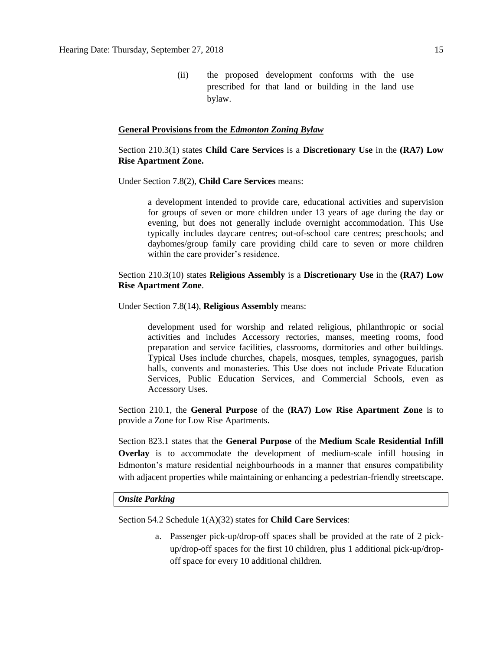(ii) the proposed development conforms with the use prescribed for that land or building in the land use bylaw.

### **General Provisions from the** *Edmonton Zoning Bylaw*

## Section 210.3(1) states **Child Care Services** is a **Discretionary Use** in the **(RA7) Low Rise Apartment Zone.**

Under Section 7.8(2), **Child Care Services** means:

a development intended to provide care, educational activities and supervision for groups of seven or more children under 13 years of age during the day or evening, but does not generally include overnight accommodation. This Use typically includes daycare centres; out-of-school care centres; preschools; and dayhomes/group family care providing child care to seven or more children within the care provider's residence.

## Section 210.3(10) states **Religious Assembly** is a **Discretionary Use** in the **(RA7) Low Rise Apartment Zone**.

Under Section 7.8(14), **Religious Assembly** means:

development used for worship and related religious, philanthropic or social activities and includes Accessory rectories, manses, meeting rooms, food preparation and service facilities, classrooms, dormitories and other buildings. Typical Uses include churches, chapels, mosques, temples, synagogues, parish halls, convents and monasteries. This Use does not include Private Education Services, Public Education Services, and Commercial Schools, even as Accessory Uses.

Section 210.1, the **General Purpose** of the **(RA7) Low Rise Apartment Zone** is to provide a Zone for Low Rise Apartments.

Section 823.1 states that the **General Purpose** of the **Medium Scale Residential Infill Overlay** is to accommodate the development of medium-scale infill housing in Edmonton's mature residential neighbourhoods in a manner that ensures compatibility with adjacent properties while maintaining or enhancing a pedestrian-friendly streetscape.

#### *Onsite Parking*

Section 54.2 Schedule 1(A)(32) states for **Child Care Services**:

a. Passenger pick-up/drop-off spaces shall be provided at the rate of 2 pickup/drop-off spaces for the first 10 children, plus 1 additional pick-up/dropoff space for every 10 additional children.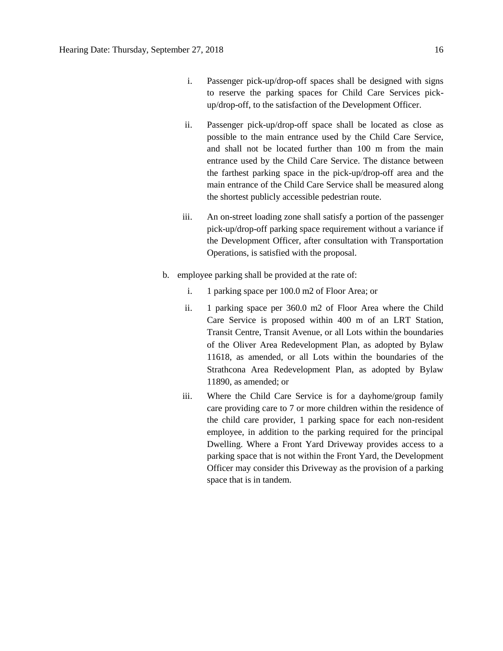- i. Passenger pick-up/drop-off spaces shall be designed with signs to reserve the parking spaces for Child Care Services pickup/drop-off, to the satisfaction of the Development Officer.
- ii. Passenger pick-up/drop-off space shall be located as close as possible to the main entrance used by the Child Care Service, and shall not be located further than 100 m from the main entrance used by the Child Care Service. The distance between the farthest parking space in the pick-up/drop-off area and the main entrance of the Child Care Service shall be measured along the shortest publicly accessible pedestrian route.
- iii. An on-street loading zone shall satisfy a portion of the passenger pick-up/drop-off parking space requirement without a variance if the Development Officer, after consultation with Transportation Operations, is satisfied with the proposal.
- b. employee parking shall be provided at the rate of:
	- i. 1 parking space per 100.0 m2 of Floor Area; or
	- ii. 1 parking space per 360.0 m2 of Floor Area where the Child Care Service is proposed within 400 m of an LRT Station, Transit Centre, Transit Avenue, or all Lots within the boundaries of the Oliver Area Redevelopment Plan, as adopted by Bylaw 11618, as amended, or all Lots within the boundaries of the Strathcona Area Redevelopment Plan, as adopted by Bylaw 11890, as amended; or
	- iii. Where the Child Care Service is for a dayhome/group family care providing care to 7 or more children within the residence of the child care provider, 1 parking space for each non-resident employee, in addition to the parking required for the principal Dwelling. Where a Front Yard Driveway provides access to a parking space that is not within the Front Yard, the Development Officer may consider this Driveway as the provision of a parking space that is in tandem.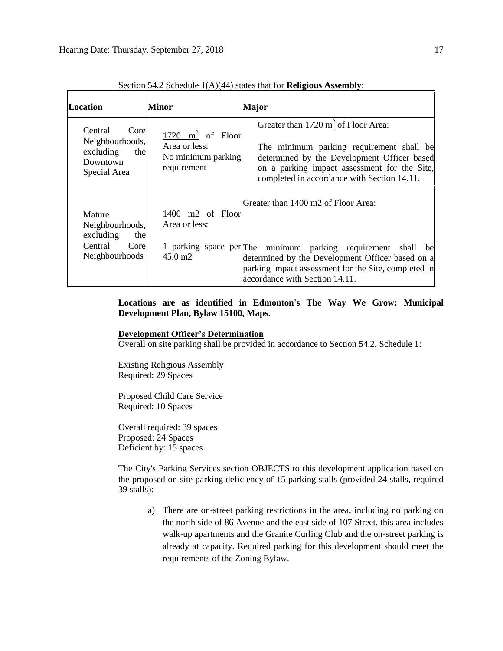| Location                                                                           | Minor                                                                     | <b>Major</b>                                                                                                                                                                                                                             |
|------------------------------------------------------------------------------------|---------------------------------------------------------------------------|------------------------------------------------------------------------------------------------------------------------------------------------------------------------------------------------------------------------------------------|
| Central<br>Core<br>Neighbourhoods,<br>excluding<br>the<br>Downtown<br>Special Area | 1720 $m^2$ of Floor<br>Area or less:<br>No minimum parking<br>requirement | Greater than $1720 \text{ m}^2$ of Floor Area:<br>The minimum parking requirement shall be<br>determined by the Development Officer based<br>on a parking impact assessment for the Site,<br>completed in accordance with Section 14.11. |
|                                                                                    |                                                                           | Greater than 1400 m2 of Floor Area:                                                                                                                                                                                                      |
| Mature                                                                             | $1400$ m2 of Floor                                                        |                                                                                                                                                                                                                                          |
| Neighbourhoods,<br>excluding<br>the                                                | Area or less:                                                             |                                                                                                                                                                                                                                          |
| Central<br>Core<br>Neighbourhoods                                                  | $45.0 \text{ m2}$                                                         | 1 parking space per The minimum parking requirement shall be<br>determined by the Development Officer based on a<br>parking impact assessment for the Site, completed in<br>accordance with Section 14.11.                               |

Section 54.2 Schedule 1(A)(44) states that for **Religious Assembly**:

# **Locations are as identified in Edmonton's The Way We Grow: Municipal Development Plan, Bylaw 15100, Maps.**

## **Development Officer's Determination**

Overall on site parking shall be provided in accordance to Section 54.2, Schedule 1:

Existing Religious Assembly Required: 29 Spaces

Proposed Child Care Service Required: 10 Spaces

Overall required: 39 spaces Proposed: 24 Spaces Deficient by: 15 spaces

The City's Parking Services section OBJECTS to this development application based on the proposed on-site parking deficiency of 15 parking stalls (provided 24 stalls, required 39 stalls):

a) There are on-street parking restrictions in the area, including no parking on the north side of 86 Avenue and the east side of 107 Street. this area includes walk-up apartments and the Granite Curling Club and the on-street parking is already at capacity. Required parking for this development should meet the requirements of the Zoning Bylaw.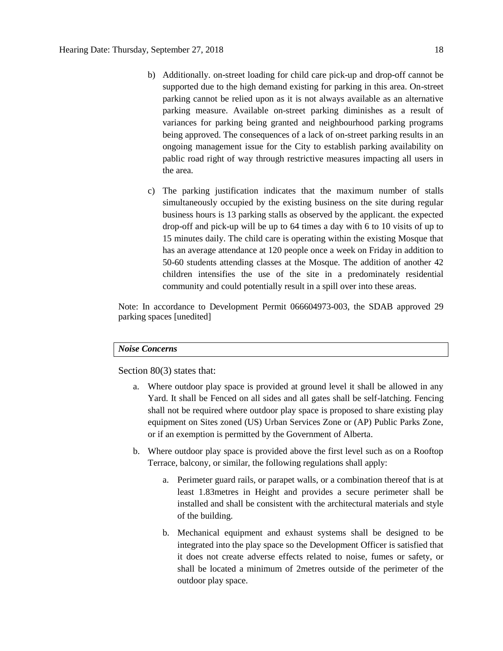- b) Additionally. on-street loading for child care pick-up and drop-off cannot be supported due to the high demand existing for parking in this area. On-street parking cannot be relied upon as it is not always available as an alternative parking measure. Available on-street parking diminishes as a result of variances for parking being granted and neighbourhood parking programs being approved. The consequences of a lack of on-street parking results in an ongoing management issue for the City to establish parking availability on pablic road right of way through restrictive measures impacting all users in the area.
- c) The parking justification indicates that the maximum number of stalls simultaneously occupied by the existing business on the site during regular business hours is 13 parking stalls as observed by the applicant. the expected drop-off and pick-up will be up to 64 times a day with 6 to 10 visits of up to 15 minutes daily. The child care is operating within the existing Mosque that has an average attendance at 120 people once a week on Friday in addition to 50-60 students attending classes at the Mosque. The addition of another 42 children intensifies the use of the site in a predominately residential community and could potentially result in a spill over into these areas.

Note: In accordance to Development Permit 066604973-003, the SDAB approved 29 parking spaces [unedited]

## *Noise Concerns*

Section 80(3) states that:

- a. Where outdoor play space is provided at ground level it shall be allowed in any Yard. It shall be Fenced on all sides and all gates shall be self-latching. Fencing shall not be required where outdoor play space is proposed to share existing play equipment on Sites zoned (US) Urban Services Zone or (AP) Public Parks Zone, or if an exemption is permitted by the Government of Alberta.
- b. Where outdoor play space is provided above the first level such as on a Rooftop Terrace, balcony, or similar, the following regulations shall apply:
	- a. Perimeter guard rails, or parapet walls, or a combination thereof that is at least 1.83metres in Height and provides a secure perimeter shall be installed and shall be consistent with the architectural materials and style of the building.
	- b. Mechanical equipment and exhaust systems shall be designed to be integrated into the play space so the Development Officer is satisfied that it does not create adverse effects related to noise, fumes or safety, or shall be located a minimum of 2metres outside of the perimeter of the outdoor play space.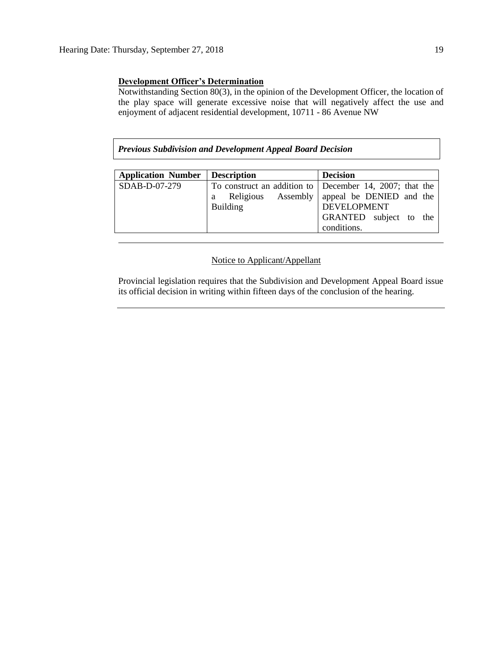# **Development Officer's Determination**

Notwithstanding Section 80(3), in the opinion of the Development Officer, the location of the play space will generate excessive noise that will negatively affect the use and enjoyment of adjacent residential development, 10711 - 86 Avenue NW

*Previous Subdivision and Development Appeal Board Decision*

| <b>Application Number</b> | <b>Description</b> | <b>Decision</b>                                         |
|---------------------------|--------------------|---------------------------------------------------------|
| SDAB-D-07-279             |                    | To construct an addition to December 14, 2007; that the |
|                           | Religious<br>a     | Assembly   appeal be DENIED and the                     |
|                           | <b>Building</b>    | <b>DEVELOPMENT</b>                                      |
|                           |                    | GRANTED subject to the                                  |
|                           |                    | conditions.                                             |

## Notice to Applicant/Appellant

Provincial legislation requires that the Subdivision and Development Appeal Board issue its official decision in writing within fifteen days of the conclusion of the hearing.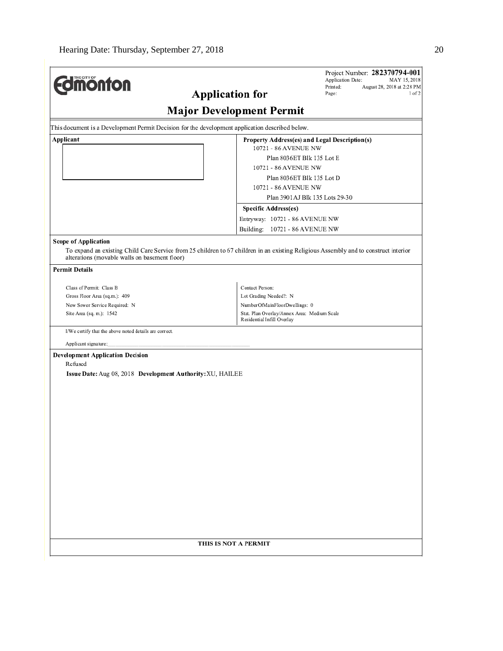|                                                                                                                  | <b>Major Development Permit</b>                                                                                                                                                 |
|------------------------------------------------------------------------------------------------------------------|---------------------------------------------------------------------------------------------------------------------------------------------------------------------------------|
|                                                                                                                  |                                                                                                                                                                                 |
| This document is a Development Permit Decision for the development application described below.                  |                                                                                                                                                                                 |
| Applicant                                                                                                        | Property Address(es) and Legal Description(s)<br>10721 - 86 AVENUE NW<br>Plan 8036ET Blk 135 Lot E<br>10721 - 86 AVENUE NW<br>Plan 8036ET Blk 135 Lot D<br>10721 - 86 AVENUE NW |
|                                                                                                                  | Plan 3901AJ Blk 135 Lots 29-30                                                                                                                                                  |
|                                                                                                                  | Specific Address(es)                                                                                                                                                            |
|                                                                                                                  | Entryway: 10721 - 86 AVENUE NW                                                                                                                                                  |
|                                                                                                                  | Building: 10721 - 86 AVENUE NW                                                                                                                                                  |
| <b>Scope of Application</b><br>alterations (movable walls on basement floor)<br><b>Permit Details</b>            | To expand an existing Child Care Service from 25 children to 67 children in an existing Religious Assembly and to construct interior                                            |
|                                                                                                                  |                                                                                                                                                                                 |
| Class of Permit: Class B                                                                                         | Contact Person:                                                                                                                                                                 |
| Gross Floor Area (sq.m.): 409                                                                                    | Lot Grading Needed?: N                                                                                                                                                          |
| New Sewer Service Required: N<br>Site Area (sq. m.): 1542                                                        | NumberOfMainFloorDwellings: 0<br>Stat. Plan Overlay/Annex Area: Medium Scale                                                                                                    |
|                                                                                                                  | Residential Infill Overlay                                                                                                                                                      |
| I/We certify that the above noted details are correct.                                                           |                                                                                                                                                                                 |
| Applicant signature:                                                                                             |                                                                                                                                                                                 |
| <b>Development Application Decision</b><br>Refused<br>Issue Date: Aug 08, 2018 Development Authority: XU, HAILEE |                                                                                                                                                                                 |
|                                                                                                                  | THIS IS NOT A PERMIT                                                                                                                                                            |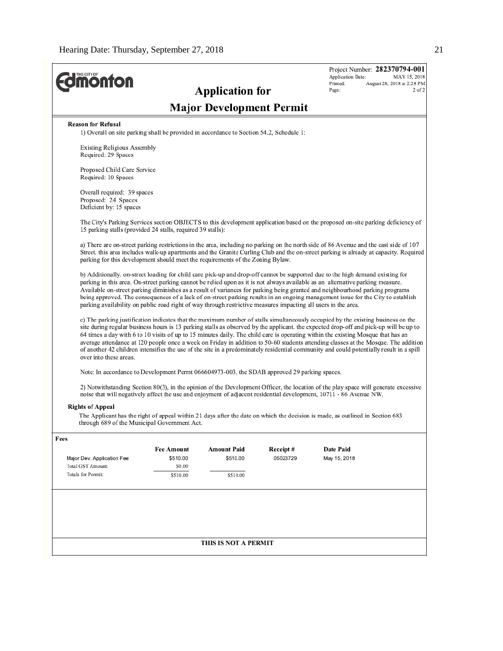| <b><i><u><u>monton</u></u></i></b>                                                                                   |                               | <b>Application for</b>          |                      | Project Number: 282370794-001<br>Application Date:<br>MAY 15, 2018<br>Printed:<br>August 28, 2018 at 2:28 PM<br>2 of 2<br>Page:                                                                                                                                                                                                                                                                                                                                                                                                                                                                                                                                                                |  |  |  |
|----------------------------------------------------------------------------------------------------------------------|-------------------------------|---------------------------------|----------------------|------------------------------------------------------------------------------------------------------------------------------------------------------------------------------------------------------------------------------------------------------------------------------------------------------------------------------------------------------------------------------------------------------------------------------------------------------------------------------------------------------------------------------------------------------------------------------------------------------------------------------------------------------------------------------------------------|--|--|--|
|                                                                                                                      |                               | <b>Major Development Permit</b> |                      |                                                                                                                                                                                                                                                                                                                                                                                                                                                                                                                                                                                                                                                                                                |  |  |  |
| <b>Reason for Refusal</b><br>1) Overall on site parking shall be provided in accordance to Section 54.2, Schedule 1: |                               |                                 |                      |                                                                                                                                                                                                                                                                                                                                                                                                                                                                                                                                                                                                                                                                                                |  |  |  |
| <b>Existing Religious Assembly</b><br>Required: 29 Spaces                                                            |                               |                                 |                      |                                                                                                                                                                                                                                                                                                                                                                                                                                                                                                                                                                                                                                                                                                |  |  |  |
| Proposed Child Care Service<br>Required: 10 Spaces                                                                   |                               |                                 |                      |                                                                                                                                                                                                                                                                                                                                                                                                                                                                                                                                                                                                                                                                                                |  |  |  |
| Overall required: 39 spaces<br>Proposed: 24 Spaces<br>Deficient by: 15 spaces                                        |                               |                                 |                      |                                                                                                                                                                                                                                                                                                                                                                                                                                                                                                                                                                                                                                                                                                |  |  |  |
| 15 parking stalls (provided 24 stalls, required 39 stalls):                                                          |                               |                                 |                      | The City's Parking Services section OBJECTS to this development application based on the proposed on-site parking deficiency of                                                                                                                                                                                                                                                                                                                                                                                                                                                                                                                                                                |  |  |  |
| parking for this development should meet the requirements of the Zoning Bylaw.                                       |                               |                                 |                      | a) There are on-street parking restrictions in the area, including no parking on the north side of 86 Avenue and the east side of 107<br>Street, this area includes walk-up apartments and the Granite Curling Club and the on-street parking is already at capacity. Required                                                                                                                                                                                                                                                                                                                                                                                                                 |  |  |  |
| parking availability on pablic road right of way through restrictive measures impacting all users in the area.       |                               |                                 |                      | b) Additionally. on-street loading for child care pick-up and drop-off cannot be supported due to the high demand existing for<br>parking in this area. On-street parking cannot be relied upon as it is not always available as an alternative parking measure.<br>Available on-street parking diminishes as a result of variances for parking being granted and neighbourhood parking programs<br>being approved. The consequences of a lack of on-street parking results in an ongoing management issue for the City to establish                                                                                                                                                           |  |  |  |
| over into these areas.                                                                                               |                               |                                 |                      | c) The parking justification indicates that the maximum number of stalls simultaneously occupied by the existing business on the<br>site during regular business hours is 13 parking stalls as observed by the applicant. the expected drop-off and pick-up will be up to<br>64 times a day with 6 to 10 visits of up to 15 minutes daily. The child care is operating within the existing Mosque that has an<br>average attendance at 120 people once a week on Friday in addition to 50-60 students attending classes at the Mosque. The addition<br>of another 42 children intensifies the use of the site in a predominately residential community and could potentially result in a spill |  |  |  |
| Note: In accordance to Development Permt 066604973-003, the SDAB approved 29 parking spaces.                         |                               |                                 |                      |                                                                                                                                                                                                                                                                                                                                                                                                                                                                                                                                                                                                                                                                                                |  |  |  |
|                                                                                                                      |                               |                                 |                      | 2) Notwithstanding Section 80(3), in the opinion of the Development Officer, the location of the play space will generate excessive<br>noise that will negatively affect the use and enjoyment of adjacent residential development, 10711 - 86 Avenue NW.                                                                                                                                                                                                                                                                                                                                                                                                                                      |  |  |  |
| <b>Rights of Appeal</b><br>through 689 of the Municipal Government Act.                                              |                               |                                 |                      | The Applicant has the right of appeal within 21 days after the date on which the decision is made, as outlined in Section 683                                                                                                                                                                                                                                                                                                                                                                                                                                                                                                                                                                  |  |  |  |
| Fees                                                                                                                 |                               |                                 |                      |                                                                                                                                                                                                                                                                                                                                                                                                                                                                                                                                                                                                                                                                                                |  |  |  |
| Major Dev. Application Fee                                                                                           | <b>Fee Amount</b><br>\$510.00 | Amount Paid<br>\$510.00         | Receipt#<br>05023729 | Date Paid<br>May 15, 2018                                                                                                                                                                                                                                                                                                                                                                                                                                                                                                                                                                                                                                                                      |  |  |  |
| Total GST Amount:                                                                                                    | \$0.00                        |                                 |                      |                                                                                                                                                                                                                                                                                                                                                                                                                                                                                                                                                                                                                                                                                                |  |  |  |
| Totals for Permit:                                                                                                   | \$510.00                      | \$510.00                        |                      |                                                                                                                                                                                                                                                                                                                                                                                                                                                                                                                                                                                                                                                                                                |  |  |  |
|                                                                                                                      |                               |                                 |                      |                                                                                                                                                                                                                                                                                                                                                                                                                                                                                                                                                                                                                                                                                                |  |  |  |
|                                                                                                                      |                               | THIS IS NOT A PERMIT            |                      |                                                                                                                                                                                                                                                                                                                                                                                                                                                                                                                                                                                                                                                                                                |  |  |  |
|                                                                                                                      |                               |                                 |                      |                                                                                                                                                                                                                                                                                                                                                                                                                                                                                                                                                                                                                                                                                                |  |  |  |